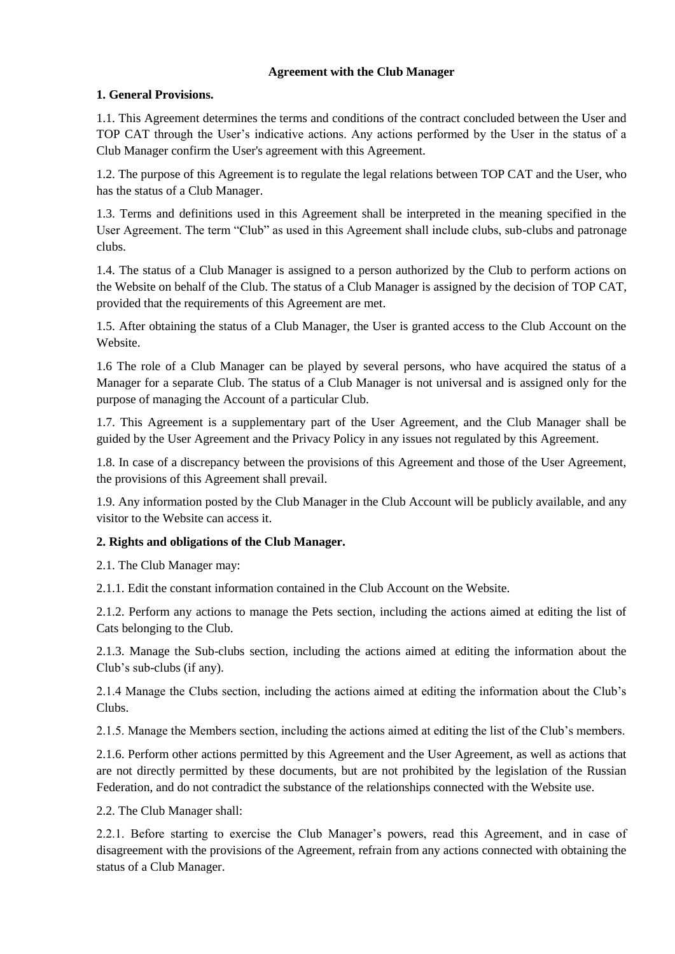#### **Agreement with the Club Manager**

## **1. General Provisions.**

1.1. This Agreement determines the terms and conditions of the contract concluded between the User and TOP CAT through the User's indicative actions. Any actions performed by the User in the status of a Club Manager confirm the User's agreement with this Agreement.

1.2. The purpose of this Agreement is to regulate the legal relations between TOP CAT and the User, who has the status of a Club Manager.

1.3. Terms and definitions used in this Agreement shall be interpreted in the meaning specified in the User Agreement. The term "Club" as used in this Agreement shall include clubs, sub-clubs and patronage clubs.

1.4. The status of a Club Manager is assigned to a person authorized by the Club to perform actions on the Website on behalf of the Club. The status of a Club Manager is assigned by the decision of TOP CAT, provided that the requirements of this Agreement are met.

1.5. After obtaining the status of a Club Manager, the User is granted access to the Club Account on the Website.

1.6 The role of a Club Manager can be played by several persons, who have acquired the status of a Manager for a separate Club. The status of a Club Manager is not universal and is assigned only for the purpose of managing the Account of a particular Club.

1.7. This Agreement is a supplementary part of the User Agreement, and the Club Manager shall be guided by the User Agreement and the Privacy Policy in any issues not regulated by this Agreement.

1.8. In case of a discrepancy between the provisions of this Agreement and those of the User Agreement, the provisions of this Agreement shall prevail.

1.9. Any information posted by the Club Manager in the Club Account will be publicly available, and any visitor to the Website can access it.

# **2. Rights and obligations of the Club Manager.**

2.1. The Club Manager may:

2.1.1. Edit the constant information contained in the Club Account on the Website.

2.1.2. Perform any actions to manage the Pets section, including the actions aimed at editing the list of Cats belonging to the Club.

2.1.3. Manage the Sub-clubs section, including the actions aimed at editing the information about the Club's sub-clubs (if any).

2.1.4 Manage the Clubs section, including the actions aimed at editing the information about the Club's Clubs.

2.1.5. Manage the Members section, including the actions aimed at editing the list of the Club's members.

2.1.6. Perform other actions permitted by this Agreement and the User Agreement, as well as actions that are not directly permitted by these documents, but are not prohibited by the legislation of the Russian Federation, and do not contradict the substance of the relationships connected with the Website use.

2.2. The Club Manager shall:

2.2.1. Before starting to exercise the Club Manager's powers, read this Agreement, and in case of disagreement with the provisions of the Agreement, refrain from any actions connected with obtaining the status of a Club Manager.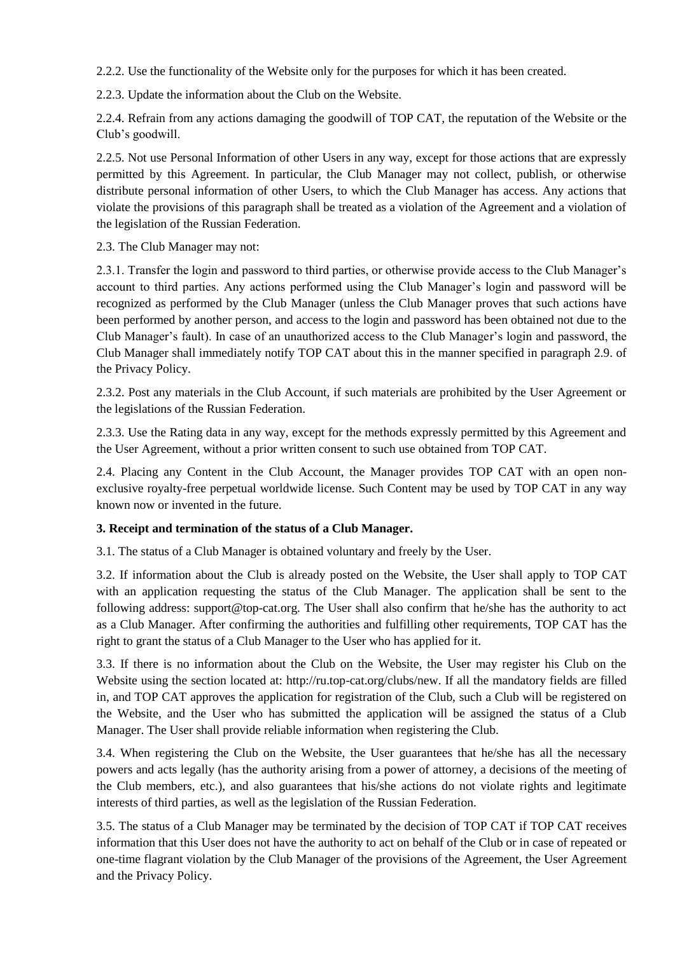2.2.2. Use the functionality of the Website only for the purposes for which it has been created.

2.2.3. Update the information about the Club on the Website.

2.2.4. Refrain from any actions damaging the goodwill of TOP CAT, the reputation of the Website or the Club's goodwill.

2.2.5. Not use Personal Information of other Users in any way, except for those actions that are expressly permitted by this Agreement. In particular, the Club Manager may not collect, publish, or otherwise distribute personal information of other Users, to which the Club Manager has access. Any actions that violate the provisions of this paragraph shall be treated as a violation of the Agreement and a violation of the legislation of the Russian Federation.

2.3. The Club Manager may not:

2.3.1. Transfer the login and password to third parties, or otherwise provide access to the Club Manager's account to third parties. Any actions performed using the Club Manager's login and password will be recognized as performed by the Club Manager (unless the Club Manager proves that such actions have been performed by another person, and access to the login and password has been obtained not due to the Club Manager's fault). In case of an unauthorized access to the Club Manager's login and password, the Club Manager shall immediately notify TOP CAT about this in the manner specified in paragraph 2.9. of the Privacy Policy.

2.3.2. Post any materials in the Club Account, if such materials are prohibited by the User Agreement or the legislations of the Russian Federation.

2.3.3. Use the Rating data in any way, except for the methods expressly permitted by this Agreement and the User Agreement, without a prior written consent to such use obtained from TOP CAT.

2.4. Placing any Content in the Club Account, the Manager provides TOP CAT with an open nonexclusive royalty-free perpetual worldwide license. Such Content may be used by TOP CAT in any way known now or invented in the future.

#### **3. Receipt and termination of the status of a Club Manager.**

3.1. The status of a Club Manager is obtained voluntary and freely by the User.

3.2. If information about the Club is already posted on the Website, the User shall apply to TOP CAT with an application requesting the status of the Club Manager. The application shall be sent to the following address: support@top-cat.org. The User shall also confirm that he/she has the authority to act as a Club Manager. After confirming the authorities and fulfilling other requirements, TOP CAT has the right to grant the status of a Club Manager to the User who has applied for it.

3.3. If there is no information about the Club on the Website, the User may register his Club on the Website using the section located at: http://ru.top-cat.org/clubs/new. If all the mandatory fields are filled in, and TOP CAT approves the application for registration of the Club, such a Club will be registered on the Website, and the User who has submitted the application will be assigned the status of a Club Manager. The User shall provide reliable information when registering the Club.

3.4. When registering the Club on the Website, the User guarantees that he/she has all the necessary powers and acts legally (has the authority arising from a power of attorney, a decisions of the meeting of the Club members, etc.), and also guarantees that his/she actions do not violate rights and legitimate interests of third parties, as well as the legislation of the Russian Federation.

3.5. The status of a Club Manager may be terminated by the decision of TOP CAT if TOP CAT receives information that this User does not have the authority to act on behalf of the Club or in case of repeated or one-time flagrant violation by the Club Manager of the provisions of the Agreement, the User Agreement and the Privacy Policy.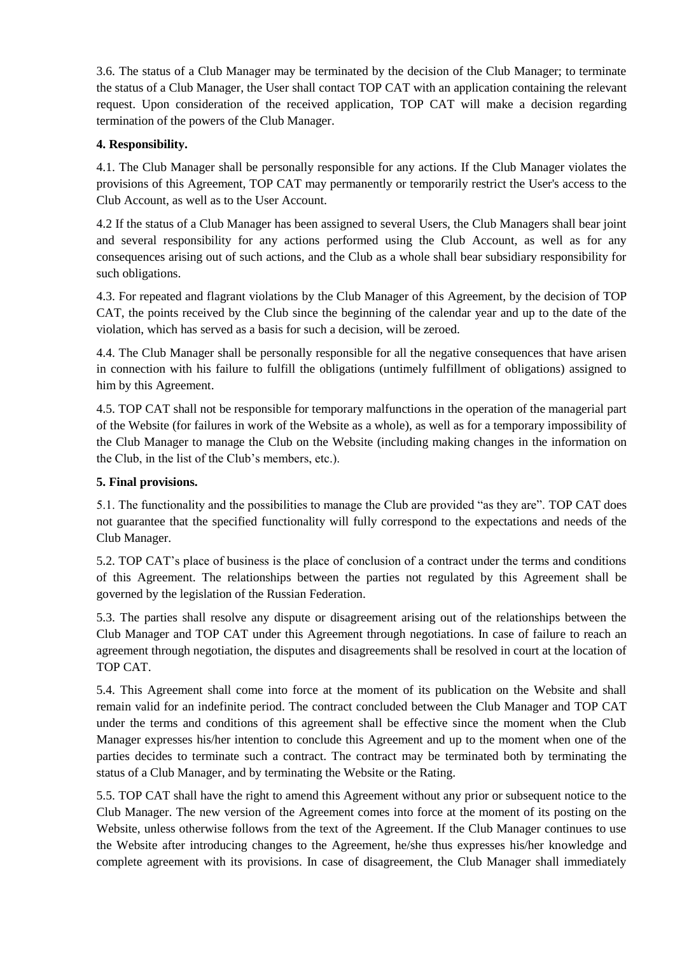3.6. The status of a Club Manager may be terminated by the decision of the Club Manager; to terminate the status of a Club Manager, the User shall contact TOP CAT with an application containing the relevant request. Upon consideration of the received application, TOP CAT will make a decision regarding termination of the powers of the Club Manager.

# **4. Responsibility.**

4.1. The Club Manager shall be personally responsible for any actions. If the Club Manager violates the provisions of this Agreement, TOP CAT may permanently or temporarily restrict the User's access to the Club Account, as well as to the User Account.

4.2 If the status of a Club Manager has been assigned to several Users, the Club Managers shall bear joint and several responsibility for any actions performed using the Club Account, as well as for any consequences arising out of such actions, and the Club as a whole shall bear subsidiary responsibility for such obligations.

4.3. For repeated and flagrant violations by the Club Manager of this Agreement, by the decision of TOP CAT, the points received by the Club since the beginning of the calendar year and up to the date of the violation, which has served as a basis for such a decision, will be zeroed.

4.4. The Club Manager shall be personally responsible for all the negative consequences that have arisen in connection with his failure to fulfill the obligations (untimely fulfillment of obligations) assigned to him by this Agreement.

4.5. TOP CAT shall not be responsible for temporary malfunctions in the operation of the managerial part of the Website (for failures in work of the Website as a whole), as well as for a temporary impossibility of the Club Manager to manage the Club on the Website (including making changes in the information on the Club, in the list of the Club's members, etc.).

## **5. Final provisions.**

5.1. The functionality and the possibilities to manage the Club are provided "as they are". TOP CAT does not guarantee that the specified functionality will fully correspond to the expectations and needs of the Club Manager.

5.2. TOP CAT's place of business is the place of conclusion of a contract under the terms and conditions of this Agreement. The relationships between the parties not regulated by this Agreement shall be governed by the legislation of the Russian Federation.

5.3. The parties shall resolve any dispute or disagreement arising out of the relationships between the Club Manager and TOP CAT under this Agreement through negotiations. In case of failure to reach an agreement through negotiation, the disputes and disagreements shall be resolved in court at the location of TOP CAT.

5.4. This Agreement shall come into force at the moment of its publication on the Website and shall remain valid for an indefinite period. The contract concluded between the Club Manager and TOP CAT under the terms and conditions of this agreement shall be effective since the moment when the Club Manager expresses his/her intention to conclude this Agreement and up to the moment when one of the parties decides to terminate such a contract. The contract may be terminated both by terminating the status of a Club Manager, and by terminating the Website or the Rating.

5.5. TOP CAT shall have the right to amend this Agreement without any prior or subsequent notice to the Club Manager. The new version of the Agreement comes into force at the moment of its posting on the Website, unless otherwise follows from the text of the Agreement. If the Club Manager continues to use the Website after introducing changes to the Agreement, he/she thus expresses his/her knowledge and complete agreement with its provisions. In case of disagreement, the Club Manager shall immediately